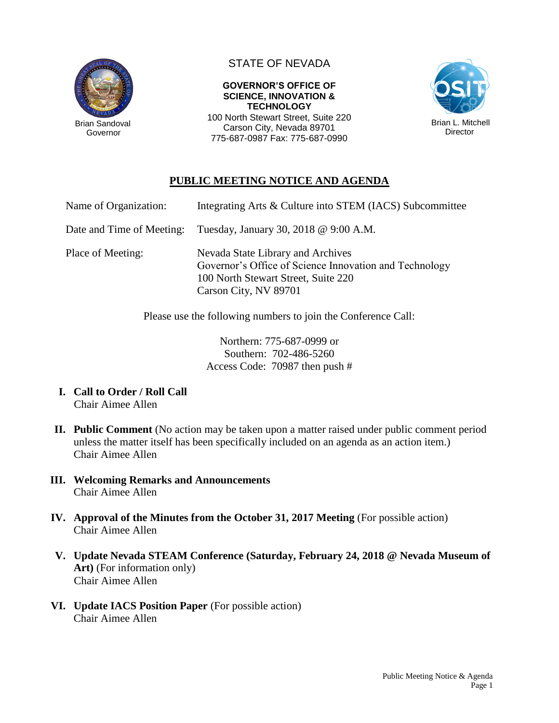

Governor

## STATE OF NEVADA

**GOVERNOR'S OFFICE OF SCIENCE, INNOVATION & TECHNOLOGY** 100 North Stewart Street, Suite 220

Carson City, Nevada 89701 775-687-0987 Fax: 775-687-0990



## **PUBLIC MEETING NOTICE AND AGENDA**

| Name of Organization:     | Integrating Arts & Culture into STEM (IACS) Subcommittee                                                                                                    |
|---------------------------|-------------------------------------------------------------------------------------------------------------------------------------------------------------|
| Date and Time of Meeting: | Tuesday, January 30, 2018 @ 9:00 A.M.                                                                                                                       |
| Place of Meeting:         | Nevada State Library and Archives<br>Governor's Office of Science Innovation and Technology<br>100 North Stewart Street, Suite 220<br>Carson City, NV 89701 |

Please use the following numbers to join the Conference Call:

Northern: 775-687-0999 or Southern: 702-486-5260 Access Code: 70987 then push #

- **I. Call to Order / Roll Call** Chair Aimee Allen
- **II. Public Comment** (No action may be taken upon a matter raised under public comment period unless the matter itself has been specifically included on an agenda as an action item.) Chair Aimee Allen
- **III. Welcoming Remarks and Announcements** Chair Aimee Allen
- **IV. Approval of the Minutes from the October 31, 2017 Meeting** (For possible action) Chair Aimee Allen
- **V. Update Nevada STEAM Conference (Saturday, February 24, 2018 @ Nevada Museum of Art)** (For information only) Chair Aimee Allen
- **VI. Update IACS Position Paper** (For possible action) Chair Aimee Allen